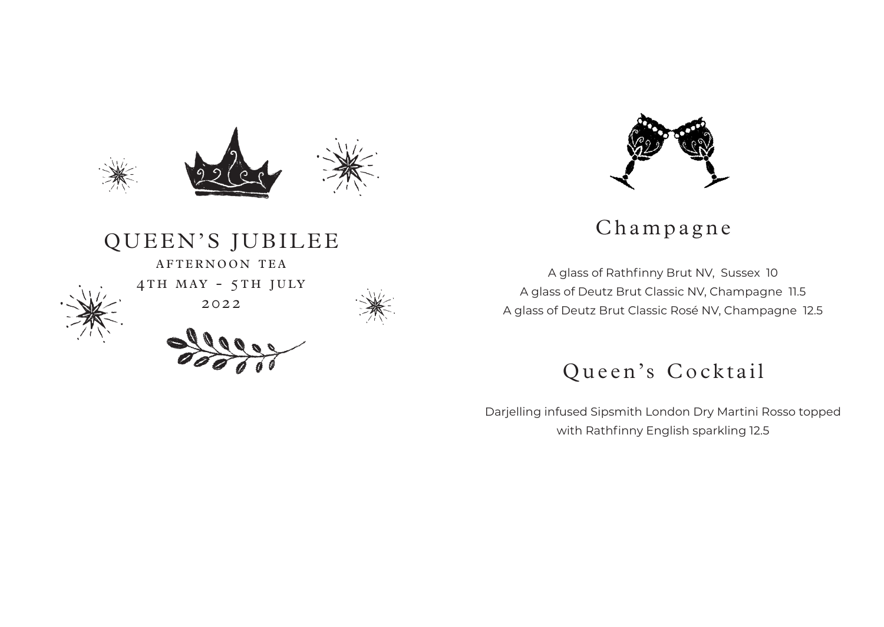

QUEEN'S JUBILEE

AFTERNOON TEA

2022



Champagne

A glass of Rathfinny Brut NV, Sussex 10 A glass of Deutz Brut Classic NV, Champagne 11.5 A glass of Deutz Brut Classic Rosé NV, Champagne 12.5

# Queen's Cocktail

Darjelling infused Sipsmith London Dry Martini Rosso topped with Rathfinny English sparkling 12.5



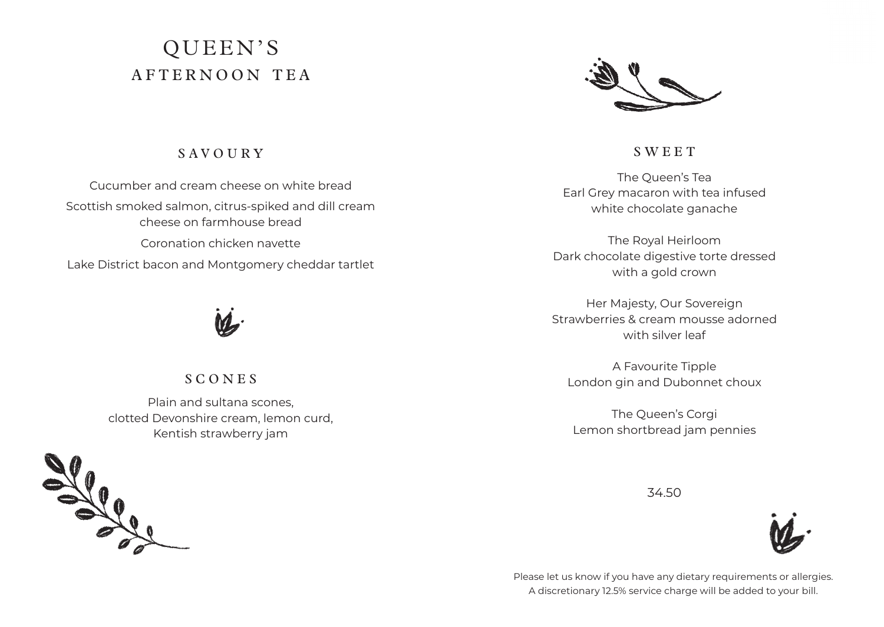# QUEEN'S AFTERNOON TEA



#### S A V O U R Y

Cucumber and cream cheese on white bread Scottish smoked salmon, citrus-spiked and dill cream cheese on farmhouse bread Coronation chicken navette Lake District bacon and Montgomery cheddar tartlet



#### **SCONES**

Plain and sultana scones, clotted Devonshire cream, lemon curd, Kentish strawberry jam



**SWEET** 

The Queen's Tea Earl Grey macaron with tea infused white chocolate ganache

The Royal Heirloom Dark chocolate digestive torte dressed with a gold crown

Her Majesty, Our Sovereign Strawberries & cream mousse adorned with silver leaf

A Favourite Tipple London gin and Dubonnet choux

The Queen's Corgi Lemon shortbread jam pennies

34.50



Please let us know if you have any dietary requirements or allergies. A discretionary 12.5% service charge will be added to your bill.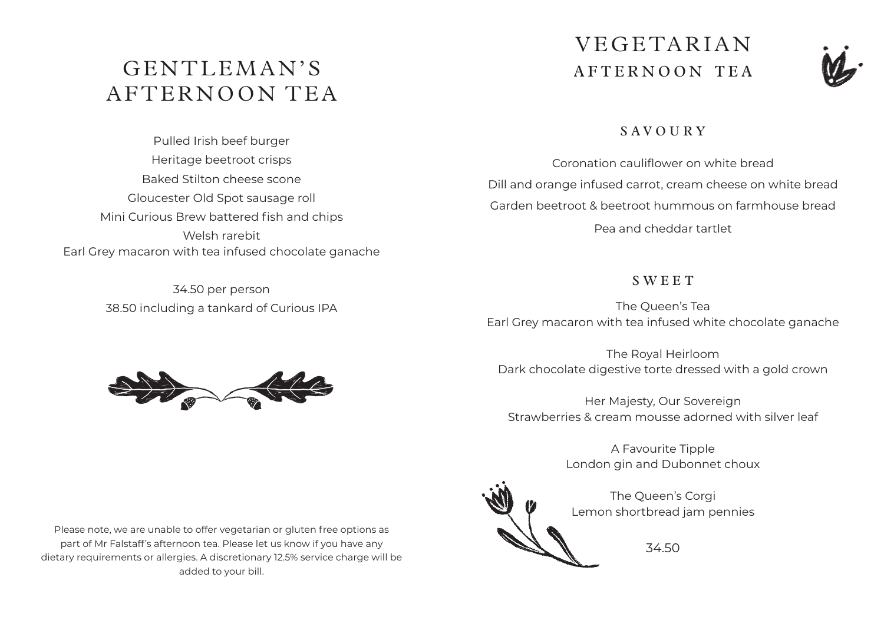# GENTLEMAN'S AFTERNOON TEA

Pulled Irish beef burger Heritage beetroot crisps Baked Stilton cheese scone Gloucester Old Spot sausage roll Mini Curious Brew battered fish and chips Welsh rarebit Earl Grey macaron with tea infused chocolate ganache

> 34.50 per person 38.50 including a tankard of Curious IPA

# VEGETARIAN AFTERNOON TEA



## $S A V O U R V$

Coronation cauliflower on white bread Dill and orange infused carrot, cream cheese on white bread Garden beetroot & beetroot hummous on farmhouse bread Pea and cheddar tartlet

#### **SWEET**

The Queen's Tea Earl Grey macaron with tea infused white chocolate ganache

The Royal Heirloom Dark chocolate digestive torte dressed with a gold crown

Her Majesty, Our Sovereign Strawberries & cream mousse adorned with silver leaf

> A Favourite Tipple London gin and Dubonnet choux

The Queen's Corgi Lemon shortbread jam pennies

34.50



Please note, we are unable to offer vegetarian or gluten free options as part of Mr Falstaff's afternoon tea. Please let us know if you have any dietary requirements or allergies. A discretionary 12.5% service charge will be added to your bill.